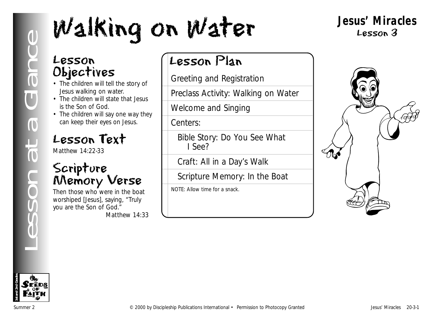# Walking on Water<br>
Lesson Chiechives<br>
The children will state that Jesus<br>
Is a Greeting and Registration<br>
Is a keep their eyes on Jesus.<br>
In echildren will state that Jesus<br>
In echildren will state that Jesus<br>
Can keep thei

# **Jesus' Miracles** Lesson 3

# Lesson Objectives

- The children will tell the story of Jesus walking on water.
- The children will state that Jesus is the Son of God.
- The children will say one way they can keep their eyes on Jesus.

# Lesson Text

Matthew 14:22-33

# Scripture Memory Verse

Then those who were in the boat worshiped [Jesus], saying, "Truly you are the Son of God." *Matthew 14:33*

# Lesson Plan

Greeting and Registration

Preclass Activity: Walking on Water

Welcome and Singing

Centers:

Bible Story: Do You See What I See?

Craft: All in a Day's Walk

Scripture Memory: In the Boat

NOTE: Allow time for a snack.



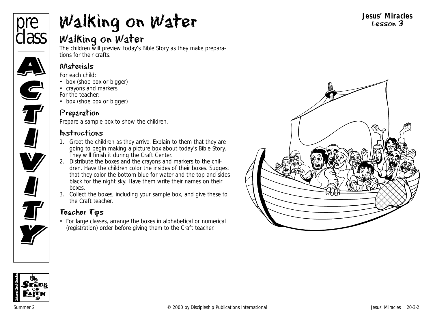

# Walking on Water

The children will preview today's Bible Story as they make preparations for their crafts.

#### Materials

*For each child:*

- box (shoe box or bigger)
- crayons and markers
- *For the teacher:*
- box (shoe box or bigger)

# Preparation

Prepare a sample box to show the children.

## Instructions

- 1. Greet the children as they arrive. Explain to them that they are going to begin making a picture box about today's Bible Story. They will finish it during the Craft Center.
- 2. Distribute the boxes and the crayons and markers to the children. Have the children color the insides of their boxes. Suggest that they color the bottom blue for water and the top and sides black for the night sky. Have them write their names on their boxes.
- 3. Collect the boxes, including your sample box, and give these to the Craft teacher.

# Teacher Tips

• For large classes, arrange the boxes in alphabetical or numerical (registration) order before giving them to the Craft teacher.





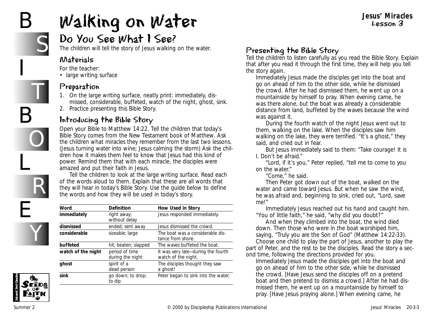# B

B

L

E

# Walking on Water

# Do You See What I See?



T

O

R

Y

The children will tell the story of Jesus walking on the water.

#### Materials

*For the teacher:*

• large writing surface

## Preparation

- 1. On the large writing surface, neatly print: immediately, dismissed, considerable, buffeted, watch of the night, ghost, sink.
- 2. Practice presenting this Bible Story.

## Introducing the Bible Story

Open your Bible to Matthew 14:22. Tell the children that today's Bible Story comes from the New Testament book of Matthew. Ask the children what miracles they remember from the last two lessons. (Jesus turning water into wine; Jesus calming the storm) Ask the children how it makes them feel to know that Jesus had this kind of power. Remind them that with each miracle, the disciples were amazed and put their faith in Jesus.

Tell the children to look at the large writing surface. Read each of the words aloud to them. Explain that these are all words that they will hear in today's Bible Story. Use the guide below to define the words and how they will be used in today's story.

| Word               | Definition                         | How Used in Story<br>Jesus responded immediately.         |  |  |
|--------------------|------------------------------------|-----------------------------------------------------------|--|--|
| immediately        | right away;<br>without delay       |                                                           |  |  |
| dismissed          | ended; sent away                   | Jesus dismissed the crowd.                                |  |  |
| considerable       | sizeable; large                    | The boat was a considerable dis-<br>tance from shore.     |  |  |
| buffeted           | hit; beaten; slapped               | The waves buffeted the boat.                              |  |  |
| watch of the night | period of time<br>during the night | It was very late-during the fourth<br>watch of the night. |  |  |
| ghost              | spirit of a<br>dead person         | The disciples thought they saw<br>a ghost!                |  |  |
| sink               | go down; to drop;<br>to dip        | Peter began to sink into the water.                       |  |  |

#### Presenting the Bible Story

Tell the children to listen carefully as you read the Bible Story. Explain that after you read it through the first time, they will help you tell the story again.

**Jesus' Miracles** Lesson 3

*Immediately Jesus made the disciples get into the boat and go on ahead of him to the other side, while he dismissed the crowd. After he had dismissed them, he went up on a mountainside by himself to pray. When evening came, he was there alone, but the boat was already a considerable distance from land, buffeted by the waves because the wind was against it.* 

*During the fourth watch of the night Jesus went out to them, walking on the lake. When the disciples saw him walking on the lake, they were terrified. "It's a ghost," they said, and cried out in fear.* 

*But Jesus immediately said to them: "Take courage! It is I. Don't be afraid."* 

*"Lord, if it's you," Peter replied, "tell me to come to you on the water."* 

*"Come," he said.*

*Then Peter got down out of the boat, walked on the water and came toward Jesus. But when he saw the wind, he was afraid and, beginning to sink, cried out, "Lord, save me!"* 

*Immediately Jesus reached out his hand and caught him. "You of little faith," he said, "why did you doubt?"* 

*And when they climbed into the boat, the wind died down. Then those who were in the boat worshiped him, saying, "Truly you are the Son of God"* (Matthew 14:22-33).

Choose one child to play the part of Jesus, another to play the part of Peter, and the rest to be the disciples. Read the story a second time, following the directions provided for you.

*Immediately Jesus made the disciples get into the boat and go on ahead of him to the other side, while he dismissed the crowd.* [Have Jesus send the disciples off on a pretend boat and then pretend to dismiss a crowd.] *After he had dismissed them, he went up on a mountainside by himself to pray.* [Have Jesus praying alone.] *When evening came, he*

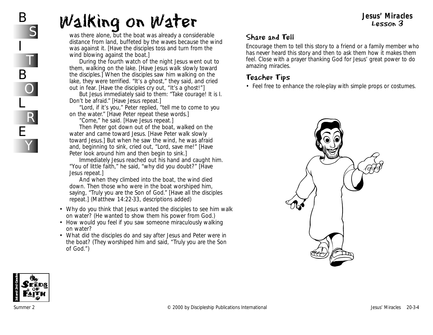*was there alone, but the boat was already a considerable distance from land, buffeted by the waves because the wind was against it.* [Have the disciples toss and turn from the wind blowing against the boat.]

*During the fourth watch of the night Jesus went out to them, walking on the lake.* [Have Jesus walk slowly toward the disciples.] *When the disciples saw him walking on the lake, they were terrified. "It's a ghost," they said, and cried out in fear.* [Have the disciples cry out, "It's a ghost!"]

*But Jesus immediately said to them: "Take courage! It is I. Don't be afraid."* [Have Jesus repeat.]

*"Lord, if it's you," Peter replied, "tell me to come to you on the water."* [Have Peter repeat these words.]

*"Come," he said.* [Have Jesus repeat.]

*Then Peter got down out of the boat, walked on the water and came toward Jesus.* [Have Peter walk slowly toward Jesus.] *But when he saw the wind, he was afraid and, beginning to sink, cried out, "Lord, save me!"* [Have Peter look around him and then begin to sink.]

*Immediately Jesus reached out his hand and caught him. "You of little faith," he said, "why did you doubt?"* [Have Jesus repeat.]

*And when they climbed into the boat, the wind died down. Then those who were in the boat worshiped him, saying, "Truly you are the Son of God."* [Have all the disciples repeat.] (Matthew 14:22-33, descriptions added)

- *Why do you think that Jesus wanted the disciples to see him walk on water?* (He wanted to show them his power from God.)
- *How would you feel if you saw someone miraculously walking on water?*
- *What did the disciples do and say after Jesus and Peter were in the boat?* (They worshiped him and said, "Truly you are the Son of God.")

#### Share and Tell

Encourage them to tell this story to a friend or a family member who has never heard this story and then to ask them how it makes them feel. Close with a prayer thanking God for Jesus' great power to do amazing miracles.

**Jesus' Miracles** Lesson 3

## Teacher Tips

• Feel free to enhance the role-play with simple props or costumes.



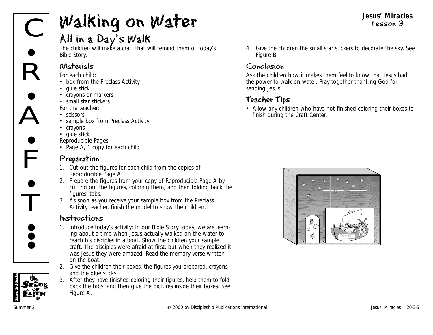# All in a Day's Walk

The children will make a craft that will remind them of today's Bible Story.

#### Materials

*For each child:*

- box from the Preclass Activity
- glue stick
- crayons or markers
- small star stickers

*For the teacher:*

- scissors
- sample box from Preclass Activity
- crayons
- glue stick
- *Reproducible Pages:*
- Page A, 1 copy for each child

## Preparation

- 1. Cut out the figures for each child from the copies of Reproducible Page A.
- 2. Prepare the figures from your copy of Reproducible Page A by cutting out the figures, coloring them, and then folding back the figures' tabs.
- 3. As soon as you receive your sample box from the Preclass Activity teacher, finish the model to show the children.

## Instructions

- 1. Introduce today's activity: *In our Bible Story today, we are learning about a time when Jesus actually walked on the water to reach his disciples in a boat.* Show the children your sample craft. *The disciples were afraid at first, but when they realized it was Jesus they were amazed.* Read the memory verse written<br>• Consider the disciples in a boat. Show the children your sample<br>• Craft. The disciples were afraid at first, but when they realized it<br>• Was Jesus they were ama on the boat.
	- 2. Give the children their boxes, the figures you prepared, crayons and the glue sticks.
	- 3. After they have finished coloring their figures, help them to fold back the tabs, and then glue the pictures inside their boxes. See Figure A.

4. Give the children the small star stickers to decorate the sky. See Figure B.

**Jesus' Miracles** Lesson 3

#### Conclusion

Ask the children how it makes them feel to know that Jesus had the power to walk on water. Pray together thanking God for sending Jesus.

## Teacher Tips

• Allow any children who have not finished coloring their boxes to finish during the Craft Center.



**1st and 2nd Grades**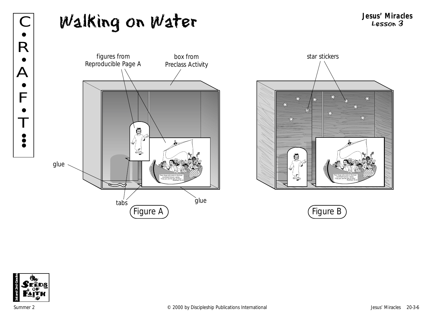







T

•<br>• **; •** 

•

**Jesus' Miracles** C Lesson 3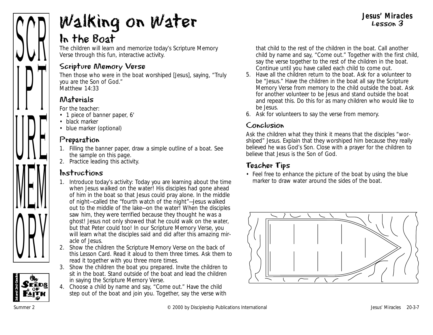

# In the Boat

The children will learn and memorize today's Scripture Memory Verse through this fun, interactive activity.

#### Scripture Memory Verse

Then those who were in the boat worshiped [Jesus], saying, "Truly you are the Son of God." *Matthew 14:33*

# Materials

*For the teacher:*

- 1 piece of banner paper, 6'
- black marker
- blue marker (optional)

# Preparation

- 1. Filling the banner paper, draw a simple outline of a boat. See the sample on this page.
- 2. Practice leading this activity.

# Instructions

- 1. Introduce today's activity: *Today you are learning about the time when Jesus walked on the water! His disciples had gone ahead of him in the boat so that Jesus could pray alone. In the middle of night—called the "fourth watch of the night"—Jesus walked out to the middle of the lake—on the water! When the disciples saw him, they were terrified because they thought he was a ghost! Jesus not only showed that he could walk on the water, but that Peter could too! In our Scripture Memory Verse, you will learn what the disciples said and did after this amazing miracle of Jesus.*
- 2. Show the children the Scripture Memory Verse on the back of this Lesson Card. Read it aloud to them three times. Ask them to read it together with you three more times.
- 3. Show the children the boat you prepared. Invite the children to sit in the boat. Stand outside of the boat and lead the children in saying the Scripture Memory Verse.
- 4. Choose a child by name and say, "Come out." Have the child step out of the boat and join you. Together, say the verse with

that child to the rest of the children in the boat. Call another child by name and say, "Come out." Together with the first child, say the verse together to the rest of the children in the boat. Continue until you have called each child to come out.

**Jesus' Miracles** Lesson 3

- 5. Have all the children return to the boat. Ask for a volunteer to be "Jesus." Have the children in the boat all say the Scripture Memory Verse from memory to the child outside the boat. Ask for another volunteer to be Jesus and stand outside the boat and repeat this. Do this for as many children who would like to be Jesus.
- 6. Ask for volunteers to say the verse from memory.

## Conclusion

Ask the children what they think it means that the disciples "worshiped" Jesus. Explain that they worshiped him because they really believed he was God's Son. Close with a prayer for the children to believe that Jesus is the Son of God.

# Teacher Tips

• Feel free to enhance the picture of the boat by using the blue marker to draw water around the sides of the boat.



**1st and 2nd Grades**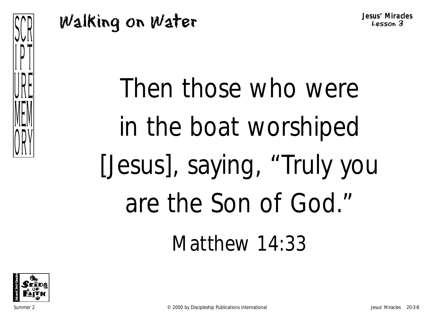

Then those who were in the boat worshiped [Jesus], saying, "Truly you are the Son of God." Matthew 14:33

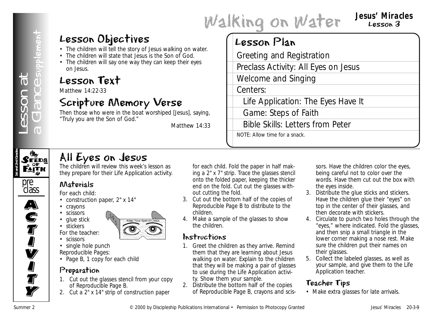#### Walking on Water **Jesus' Miracles** Lesson 3

# Lesson Objectives

- The children will tell the story of Jesus walking on water.
- The children will state that Jesus is the Son of God.
- The children will say one way they can keep their eyes on Jesus.

# Lesson Text

Matthew 14:22-33

# Scripture Memory Verse

Then those who were in the boat worshiped [Jesus], saying, "Truly you are the Son of God."

*Matthew 14:33*

# Lesson Plan

Greeting and Registration

Preclass Activity: All Eyes on Jesus

Welcome and Singing

Centers:

Life Application: The Eyes Have It

Game: Steps of Faith

Bible Skills: Letters from Peter

NOTE: Allow time for a snack.



# All Eyes on Jesus

The children will review this week's lesson as they prepare for their Life Application activity.



A)<br>C

**S**<br>T

I<br>I

**V** 

**I** 

**J**<br>T

**Ty** 

# Materials

*For each child:*

- construction paper, 2" x 14"
- crayons
- scissors

*For the teacher:*



• single hole punch

*Reproducible Pages:*

• Page B, 1 copy for each child

## Preparation

- 1. Cut out the glasses stencil from your copy of Reproducible Page B.
- 2. Cut a 2" x 14" strip of construction paper

for each child. Fold the paper in half making a 2" x 7" strip. Trace the glasses stencil onto the folded paper, keeping the thicker end on the fold. Cut out the glasses without cutting the fold.

- 3. Cut out the bottom half of the copies of Reproducible Page B to distribute to the children.
- 4. Make a sample of the glasses to show the children.

# Instructions

- 1. Greet the children as they arrive. Remind them that they are learning about Jesus walking on water. Explain to the children that they will be making a pair of glasses to use during the Life Application activity. Show them your sample.
- 2. Distribute the bottom half of the copies of Reproducible Page B, crayons and scis-

sors. Have the children color the eyes, being careful not to color over the words. Have them cut out the box with the eyes inside.

- 3. Distribute the glue sticks and stickers. Have the children glue their "eyes" on top in the center of their glasses, and then decorate with stickers.
- **LESSON Objectives**<br>
The change of the start of control internations international experimental experimental experimental experimental experimental experimental experimental experimental experimental experimental experime 4. Circulate to punch two holes through the "eyes," where indicated. Fold the glasses, and then snip a small triangle in the lower corner making a nose rest. Make sure the children put their names on their glasses.
	- 5. Collect the labeled glasses, as well as your sample, and give them to the Life Application teacher.

# Teacher Tips

• Make extra glasses for late arrivals.

• glue stick • stickers • scissors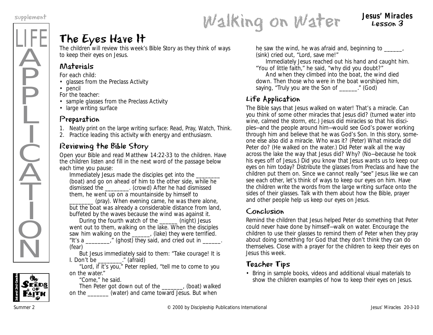LIFE

Ä

**P** 

P

Ļ

I

 $\frac{1}{2}$ 

 $\widecheck{\mathrm{A}}$ 

T

I

 $\dot{Q}$ 

 $\overline{\textsf{N}}$ 

supplement<br> **Jesus' Miracles**<br> **Jesus' Miracles**<br> **Jesus' Miracles** Lesson 3

# The Eyes Have It

The children will review this week's Bible Story as they think of ways to keep their eyes on Jesus.

## Materials

*For each child:*

- glasses from the Preclass Activity
- pencil

*For the teacher:*

- sample glasses from the Preclass Activity
- large writing surface

## Preparation

- 1. Neatly print on the large writing surface: Read, Pray, Watch, Think.
- 2. Practice leading this activity with energy and enthusiasm.

# Reviewing the Bible Story

Open your Bible and read Matthew 14:22-33 to the children. Have the children listen and fill in the next word of the passage below each time you pause:

*Immediately Jesus made the disciples get into the* (boat) *and go on ahead of him to the other side, while he dismissed the \_\_\_\_\_\_\_\_.* (crowd) *After he had dismissed them, he went up on a mountainside by himself to*

*\_\_\_\_\_\_\_\_* (pray). *When evening came, he was there alone, but the boat was already a considerable distance from land, buffeted by the waves because the wind was against it.* 

*During the fourth watch of the \_\_\_\_\_\_* (night) *Jesus went out to them, walking on the lake. When the disciples saw him walking on the \_\_\_\_\_\_,* (lake) *they were terrified. "It's a \_\_\_\_\_\_\_\_,"* (ghost) *they said, and cried out in \_\_\_\_\_\_.* (fear)

*But Jesus immediately said to them: "Take courage! It is I. Don't be \_\_\_\_\_\_\_\_."* (afraid)

*"Lord, if it's you," Peter replied, "tell me to come to you on the water."* 

*"Come," he said.*

*Then Peter got down out of the \_\_\_\_\_\_\_,* (boat) *walked on the \_\_\_\_\_\_\_* (water) *and came toward Jesus. But when*

*he saw the wind, he was afraid and, beginning to \_\_\_\_\_\_,* (sink) *cried out, "Lord, save me!"* 

*Immediately Jesus reached out his hand and caught him. "You of little faith," he said, "why did you doubt?"* 

*And when they climbed into the boat, the wind died down. Then those who were in the boat worshiped him, saying, "Truly you are the Son of \_\_\_\_\_\_."* (God)

# Life Application

*The Bible says that Jesus walked on water! That's a miracle. Can you think of some other miracles that Jesus did?* (turned water into wine, calmed the storm, etc.) *Jesus did miracles so that his disciples—and the people around him—would see God's power working through him and believe that he was God's Son. In this story, someone else also did a miracle. Who was it?* (Peter) *What miracle did Peter do?* (He walked on the water.) *Did Peter walk all the way across the lake the way that Jesus did? Why?* (No—because he took his eyes off of Jesus.) *Did you know that Jesus wants us to keep our eyes on him today?* Distribute the glasses from Preclass and have the children put them on. *Since we cannot really "see" Jesus like we can see each other, let's think of ways to keep our eyes on him.* Have the children write the words from the large writing surface onto the sides of their glasses. Talk with them about how the Bible, prayer and other people help us keep our eyes on Jesus.

#### Conclusion

Remind the children that Jesus helped Peter do something that Peter could never have done by himself—walk on water. Encourage the children to use their glasses to remind them of Peter when they pray about doing something for God that they don't think they can do themselves. Close with a prayer for the children to keep their eyes on Jesus this week.

# Teacher Tips

• Bring in sample books, videos and additional visual materials to show the children examples of how to keep their eyes on Jesus.

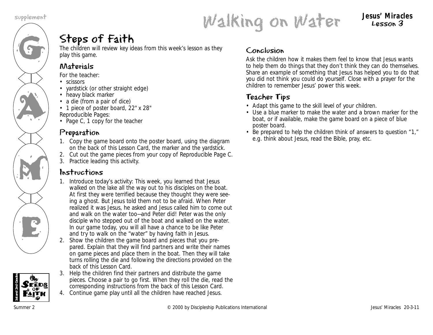G

AN A

M

K<br>E

# Walking on Water supplement **Jesus' Miracles**

# Lesson 3

# Steps of Faith

The children will review key ideas from this week's lesson as they play this game.

# Materials

*For the teacher:*

- scissors
- yardstick (or other straight edge)
- heavy black marker
- a die (from a pair of dice)
- 1 piece of poster board, 22" x 28" *Reproducible Pages:*
- Page C, 1 copy for the teacher

# Preparation

- 1. Copy the game board onto the poster board, using the diagram on the back of this Lesson Card, the marker and the yardstick.
- 2. Cut out the game pieces from your copy of Reproducible Page C.
- 3. Practice leading this activity.

# Instructions

- 1. Introduce today's activity: *This week, you learned that Jesus walked on the lake all the way out to his disciples on the boat. At first they were terrified because they thought they were seeing a ghost. But Jesus told them not to be afraid. When Peter realized it was Jesus, he asked and Jesus called him to come out and walk on the water too—and Peter did! Peter was the only disciple who stepped out of the boat and walked on the water. In our game today, you will all have a chance to be like Peter and try to walk on the "water" by having faith in Jesus.*
- 2. Show the children the game board and pieces that you prepared. Explain that they will find partners and write their names on game pieces and place them in the boat. Then they will take turns rolling the die and following the directions provided on the back of this Lesson Card.



- 3. Help the children find their partners and distribute the game pieces. Choose a pair to go first. When they roll the die, read the corresponding instructions from the back of this Lesson Card.
- 4. Continue game play until all the children have reached Jesus.

#### Conclusion

Ask the children how it makes them feel to know that Jesus wants to help them do things that they don't think they can do themselves. Share an example of something that Jesus has helped you to do that you did not think you could do yourself. Close with a prayer for the children to remember Jesus' power this week.

# Teacher Tips

- Adapt this game to the skill level of your children.
- Use a blue marker to make the water and a brown marker for the boat, or if available, make the game board on a piece of blue poster board.
- Be prepared to help the children think of answers to question "1," e.g. think about Jesus, read the Bible, pray, etc.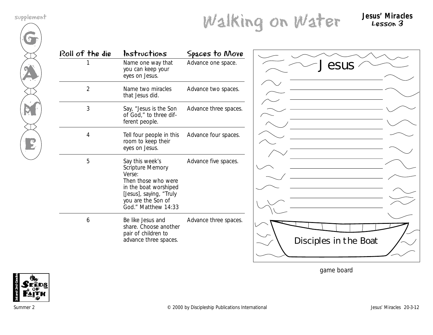$\overline{\Omega}$ 

**AN** 

M

E

Walking on Water supplement **Jesus' Miracles**

Lesson 3

| Roll of the die | Instructions                                                                                                                                                          | Spaces to Move        |                       |
|-----------------|-----------------------------------------------------------------------------------------------------------------------------------------------------------------------|-----------------------|-----------------------|
|                 | Name one way that<br>you can keep your<br>eyes on Jesus.                                                                                                              | Advance one space.    | esus                  |
| $\overline{2}$  | Name two miracles<br>that Jesus did.                                                                                                                                  | Advance two spaces.   |                       |
| 3               | Say, "Jesus is the Son<br>of God," to three dif-<br>ferent people.                                                                                                    | Advance three spaces. |                       |
| 4               | Tell four people in this<br>room to keep their<br>eyes on Jesus.                                                                                                      | Advance four spaces.  |                       |
| 5               | Say this week's<br>Scripture Memory<br>Verse:<br>Then those who were<br>in the boat worshiped<br>[Jesus], saying, "Truly<br>you are the Son of<br>God." Matthew 14:33 | Advance five spaces.  |                       |
| 6               | Be like Jesus and<br>share. Choose another<br>pair of children to<br>advance three spaces.                                                                            | Advance three spaces. | Disciples in the Boat |

game board

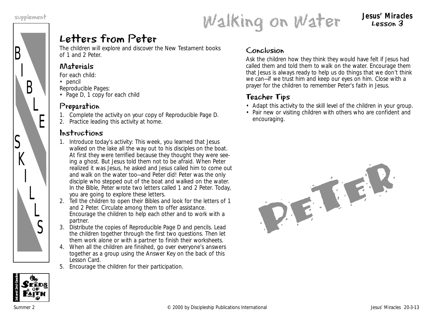

# supplement<br>
Walking on Water Lesson 3

Lesson 3

# Letters from Peter

The children will explore and discover the New Testament books of 1 and 2 Peter.

#### Materials

*For each child:*

• pencil

*Reproducible Pages:*

• Page D, 1 copy for each child

#### Preparation

- 1. Complete the activity on your copy of Reproducible Page D.
- 2. Practice leading this activity at home.

#### Instructions

- 1. Introduce today's activity: *This week, you learned that Jesus walked on the lake all the way out to his disciples on the boat. At first they were terrified because they thought they were seeing a ghost. But Jesus told them not to be afraid. When Peter realized it was Jesus, he asked and Jesus called him to come out and walk on the water too—and Peter did! Peter was the only disciple who stepped out of the boat and walked on the water. In the Bible, Peter wrote two letters called 1 and 2 Peter. Today, you are going to explore these letters.*
- 2. Tell the children to open their Bibles and look for the letters of 1 and 2 Peter. Circulate among them to offer assistance. Encourage the children to help each other and to work with a partner.
- 3. Distribute the copies of Reproducible Page D and pencils. Lead the children together through the first two questions. Then let them work alone or with a partner to finish their worksheets.
- 4. When all the children are finished, go over everyone's answers together as a group using the Answer Key on the back of this Lesson Card.
- 5. Encourage the children for their participation.

#### Conclusion

Ask the children how they think they would have felt if Jesus had called them and told them to walk on the water. Encourage them that Jesus is always ready to help us do things that we don't think we can—if we trust him and keep our eyes on him. Close with a prayer for the children to remember Peter's faith in Jesus.

# Teacher Tips

- Adapt this activity to the skill level of the children in your group.
- Pair new or visiting children with others who are confident and encouraging.



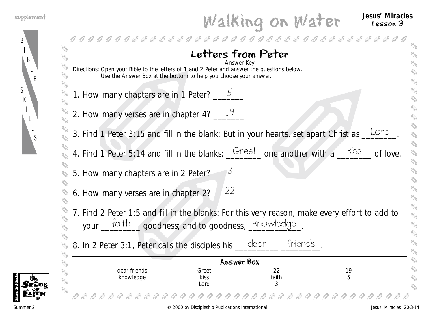





|                                                                                                                                                                 | Letters from Peter    |                 |         |          |
|-----------------------------------------------------------------------------------------------------------------------------------------------------------------|-----------------------|-----------------|---------|----------|
| Directions: Open your Bible to the letters of 1 and 2 Peter and answer the questions below.<br>Use the Answer Box at the bottom to help you choose your answer. | Answer Key            |                 |         |          |
| 1. How many chapters are in 1 Peter? $\_\_$                                                                                                                     |                       |                 |         |          |
| 2. How many verses are in chapter 4? $19$                                                                                                                       |                       |                 |         |          |
| 3. Find 1 Peter 3:15 and fill in the blank: But in your hearts, set apart Christ as                                                                             |                       |                 |         | Lord     |
| 4. Find 1 Peter 5:14 and fill in the blanks: <u>Greet</u> one another with a kiss                                                                               |                       |                 |         | of love. |
| 5. How many chapters are in 2 Peter? ___                                                                                                                        |                       |                 |         |          |
| 6. How many verses are in chapter $27 - 22$                                                                                                                     |                       |                 |         |          |
| 7. Find 2 Peter 1:5 and fill in the blanks: For this very reason, make every effort to add to<br>your faith goodness; and to goodness, knowledge                |                       |                 |         |          |
| 8. In 2 Peter 3:1, Peter calls the disciples his ____                                                                                                           |                       | friends<br>dear |         |          |
|                                                                                                                                                                 | Answer Box            |                 |         |          |
| dear friends<br>knowledge                                                                                                                                       | Greet<br>kiss<br>Lord | 22<br>faith     | 19<br>5 |          |
|                                                                                                                                                                 |                       |                 |         |          |

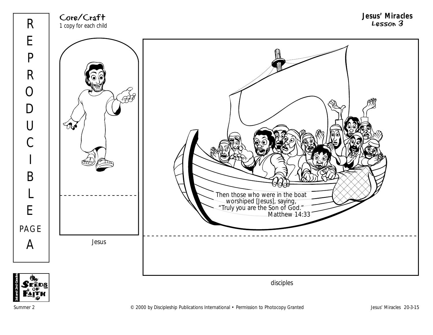



Summer 2 COOO by Discipleship Publications International • Permission to Photocopy Granted Jesus' Miracles 20-3-15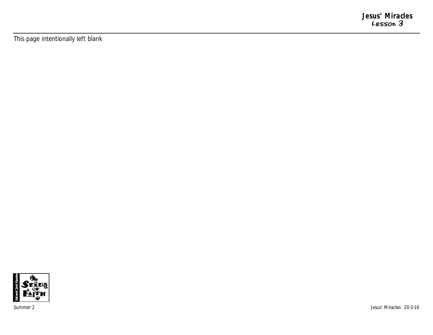This page intentionally left blank

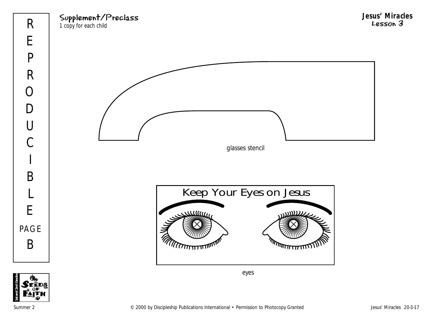Supplement/Preclass 1 copy for each child



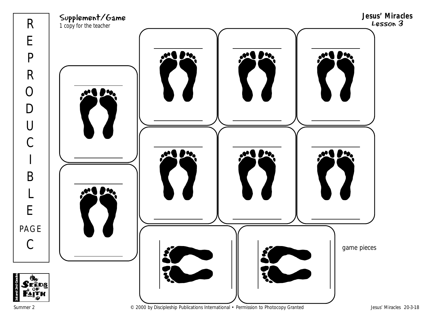